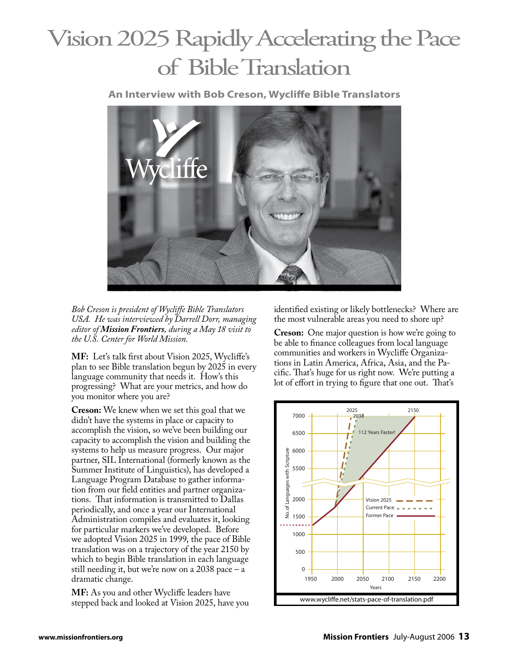## Vision 2025 Rapidly Accelerating the Pace of Bible Translation

**An Interview with Bob Creson, Wycliffe Bible Translators**



*Bob Creson is president of Wycliffe Bible Translators USA. He was interviewed by Darrell Dorr, managing editor of Mission Frontiers, during a May 18 visit to the U.S. Center for World Mission.*

**MF:** Let's talk first about Vision 2025, Wycliffe's plan to see Bible translation begun by 2025 in every language community that needs it. How's this progressing? What are your metrics, and how do you monitor where you are?

**Creson:** We knew when we set this goal that we didn't have the systems in place or capacity to accomplish the vision, so we've been building our capacity to accomplish the vision and building the capacity to accomplish the vision and building the systems to help us measure progress. Our major partner, SIL International (formerly known as the Summer Institute of Linguistics), has developed a Language Program Database to gather information from our field entities and partner organizations. That information is transmitted to Dallas periodically, and once a year our International Administration compiles and evaluates it, looking for particular markers we've developed. Before we adopted Vision 2025 in 1999, the pace of Bible translation was on a trajectory of the year 2150 by which to begin Bible translation in each language still needing it, but we're now on a 2038 pace – a 0 dramatic change. na<br>ditu<br>enterne

MF: As you and other Wycliffe leaders have stepped back and looked at Vision 2025, have you identified existing or likely bottlenecks? Where are the most vulnerable areas you need to shore up?

**Creson:** One major question is how we're going to be able to finance colleagues from local language communities and workers in Wycliffe Organizations in Latin America, Africa, Asia, and the Pacific. That's huge for us right now. We're putting a lot of effort in trying to figure that one out. That's

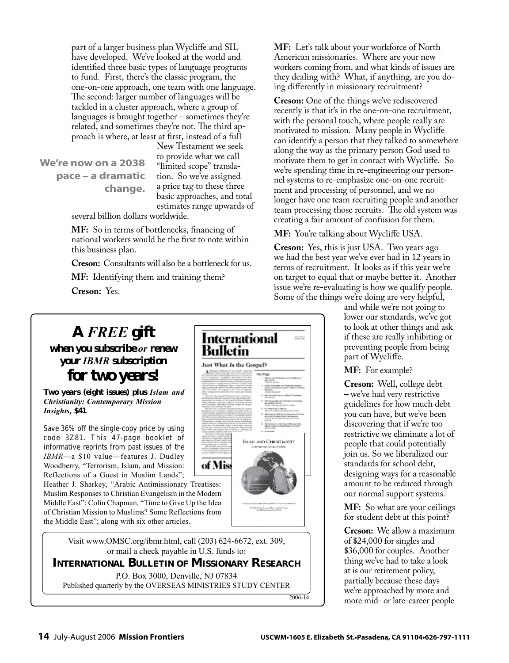part of a larger business plan Wycliffe and SIL have developed. We've looked at the world and identified three basic types of language programs to fund. First, there's the classic program, the one-on-one approach, one team with one language. The second: larger number of languages will be tackled in a cluster approach, where a group of languages is brought together – sometimes they're related, and sometimes they're not. The third approach is where, at least at first, instead of a full

**We're now on a 2038 pace – a dramatic change.**

New Testament we seek to provide what we call "limited scope" translation. So we've assigned a price tag to these three basic approaches, and total estimates range upwards of

several billion dollars worldwide.

**MF:** So in terms of bottlenecks, financing of national workers would be the first to note within this business plan.

**Creson:** Consultants will also be a bottleneck for us.

**MF:** Identifying them and training them? **Creson:** Yes.

## **A** *FREE* **gift**

**when you subscribe** *or* **renew your** *IBMR* **subscription**

**for two years!**

**Two years (eight issues) plus** *Islam and Christianity: Contemporary Mission Insights,* **\$41**

Save 36% off the single-copy price by using code 3Z81. This 47-page booklet of informative reprints from past issues of the *IBMR*—a \$10 value—features J. Dudley Woodberry, "Terrorism, Islam, and Mission: Reflections of a Guest in Muslim Lands";

Heather J. Sharkey, "Arabic Antimissionary Treatises: Muslim Responses to Christian Evangelism in the Modern Middle East"; Colin Chapman, "Time to Give Up the Idea of Christian Mission to Muslims? Some Reflections from the Middle East"; along with six other articles.

> Visit www.OMSC.org/ibmr.html, call (203) 624-6672, ext. 309, or mail a check payable in U.S. funds to:

**INTERNATIONAL BULLETIN OF MISSIONARY RESEARCH**

P.O. Box 3000, Denville, NJ 07834

Published quarterly by the OVERSEAS MINISTRIES STUDY CENTER

2006-14

**MF:** Let's talk about your workforce of North American missionaries. Where are your new workers coming from, and what kinds of issues are they dealing with? What, if anything, are you doing differently in missionary recruitment?

**Creson:** One of the things we've rediscovered recently is that it's in the one-on-one recruitment, with the personal touch, where people really are motivated to mission. Many people in Wycliffe can identify a person that they talked to somewhere along the way as the primary person God used to motivate them to get in contact with Wycliffe. So we're spending time in re-engineering our personnel systems to re-emphasize one-on-one recruitment and processing of personnel, and we no longer have one team recruiting people and another team processing those recruits. The old system was creating a fair amount of confusion for them.

**MF:** You're talking about Wycliffe USA.

**Creson:** Yes, this is just USA. Two years ago we had the best year we've ever had in 12 years in terms of recruitment. It looks as if this year we're on target to equal that or maybe better it. Another issue we're re-evaluating is how we qualify people. Some of the things we're doing are very helpful,

and while we're not going to lower our standards, we've got to look at other things and ask if these are really inhibiting or preventing people from being part of Wycliffe.

**MF:** For example?

**Creson:** Well, college debt – we've had very restrictive guidelines for how much debt you can have, but we've been discovering that if we're too restrictive we eliminate a lot of people that could potentially join us. So we liberalized our standards for school debt, designing ways for a reasonable amount to be reduced through our normal support systems.

**MF:** So what are your ceilings for student debt at this point?

**Creson:** We allow a maximum of \$24,000 for singles and \$36,000 for couples. Another thing we've had to take a look at is our retirement policy, partially because these days we're approached by more and more mid- or late-career people